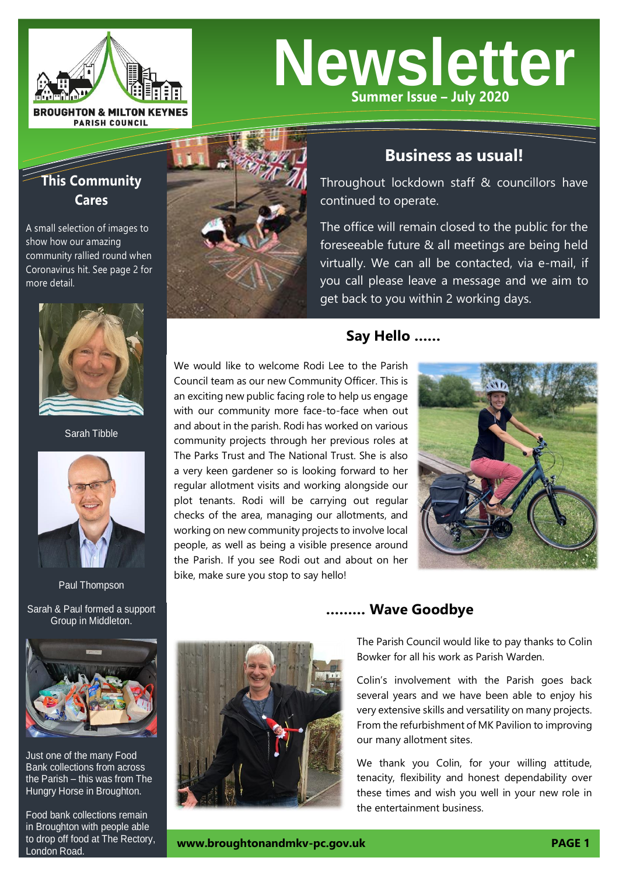

# **Newsletter Summer Issue – July 2020**

# **This Community Cares**

A small selection of images to show how our amazing community rallied round when Coronavirus hit. See page 2 for more detail.



Sarah Tibble



Paul Thompson

Sarah & Paul formed a support Group in Middleton.



Just one of the many Food Bank collections from across the Parish – this was from The Hungry Horse in Broughton.

Food bank collections remain in Broughton with people able to drop off food at The Rectory, London Road. **[www.broughtonandmkv-pc.gov.uk](http://www.broughtonandmkv-pc.gov.uk/) PAGE 1**



# **Business as usual!**

Throughout lockdown staff & councillors have continued to operate.

The office will remain closed to the public for the foreseeable future & all meetings are being held virtually. We can all be contacted, via e-mail, if you call please leave a message and we aim to get back to you within 2 working days.

# **Say Hello ……**

We would like to welcome Rodi Lee to the Parish Council team as our new Community Officer. This is an exciting new public facing role to help us engage with our community more face-to-face when out and about in the parish. Rodi has worked on various community projects through her previous roles at The Parks Trust and The National Trust. She is also a very keen gardener so is looking forward to her regular allotment visits and working alongside our plot tenants. Rodi will be carrying out regular checks of the area, managing our allotments, and working on new community projects to involve local people, as well as being a visible presence around the Parish. If you see Rodi out and about on her bike, make sure you stop to say hello!





## **……… Wave Goodbye**

The Parish Council would like to pay thanks to Colin Bowker for all his work as Parish Warden.

Colin's involvement with the Parish goes back several years and we have been able to enjoy his very extensive skills and versatility on many projects. From the refurbishment of MK Pavilion to improving our many allotment sites.

We thank you Colin, for your willing attitude, tenacity, flexibility and honest dependability over these times and wish you well in your new role in the entertainment business.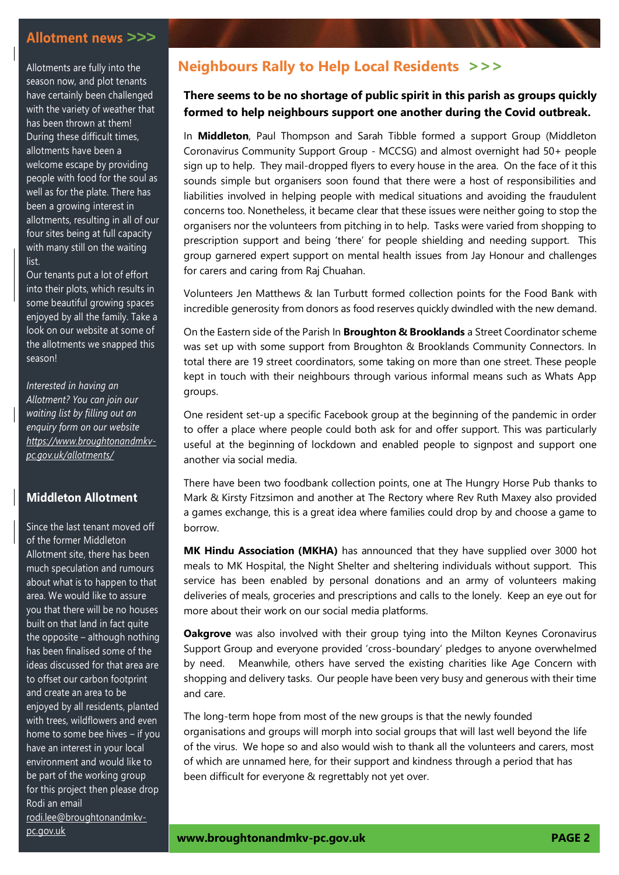#### **Allotment news** *>>>*

Allotments are fully into the season now, and plot tenants have certainly been challenged with the variety of weather that has been thrown at them! During these difficult times, allotments have been a welcome escape by providing people with food for the soul as well as for the plate. There has been a growing interest in allotments, resulting in all of our four sites being at full capacity with many still on the waiting list.

Our tenants put a lot of effort into their plots, which results in some beautiful growing spaces enjoyed by all the family. Take a look on our website at some of the allotments we snapped this season!

*Interested in having an Allotment? You can join our waiting list by filling out an enquiry form on our website [https://www.broughtonandmkv](https://www.broughtonandmkv-pc.gov.uk/allotments/)[pc.gov.uk/allotments/](https://www.broughtonandmkv-pc.gov.uk/allotments/)*

#### **Middleton Allotment**

Since the last tenant moved off of the former Middleton Allotment site, there has been much speculation and rumours about what is to happen to that area. We would like to assure you that there will be no houses built on that land in fact quite the opposite – although nothing has been finalised some of the ideas discussed for that area are to offset our carbon footprint and create an area to be enjoyed by all residents, planted with trees, wildflowers and even home to some bee hives – if you have an interest in your local environment and would like to be part of the working group for this project then please drop Rodi an email [rodi.lee@broughtonandmkv](mailto:rodi.lee@broughtonandmkv-pc.gov.uk)[pc.gov.uk](mailto:rodi.lee@broughtonandmkv-pc.gov.uk)

## **Neighbours Rally to Help Local Residents** *>>>*

#### **There seems to be no shortage of public spirit in this parish as groups quickly formed to help neighbours support one another during the Covid outbreak.**

In **Middleton**, Paul Thompson and Sarah Tibble formed a support Group (Middleton Coronavirus Community Support Group - MCCSG) and almost overnight had 50+ people sign up to help. They mail-dropped flyers to every house in the area. On the face of it this sounds simple but organisers soon found that there were a host of responsibilities and liabilities involved in helping people with medical situations and avoiding the fraudulent concerns too. Nonetheless, it became clear that these issues were neither going to stop the organisers nor the volunteers from pitching in to help. Tasks were varied from shopping to prescription support and being 'there' for people shielding and needing support. This group garnered expert support on mental health issues from Jay Honour and challenges for carers and caring from Raj Chuahan.

Volunteers Jen Matthews & Ian Turbutt formed collection points for the Food Bank with incredible generosity from donors as food reserves quickly dwindled with the new demand.

On the Eastern side of the Parish In **Broughton & Brooklands** a Street Coordinator scheme was set up with some support from Broughton & Brooklands Community Connectors. In total there are 19 street coordinators, some taking on more than one street. These people kept in touch with their neighbours through various informal means such as Whats App groups.

One resident set-up a specific Facebook group at the beginning of the pandemic in order to offer a place where people could both ask for and offer support. This was particularly useful at the beginning of lockdown and enabled people to signpost and support one another via social media.

There have been two foodbank collection points, one at The Hungry Horse Pub thanks to Mark & Kirsty Fitzsimon and another at The Rectory where Rev Ruth Maxey also provided a games exchange, this is a great idea where families could drop by and choose a game to borrow.

**MK Hindu Association (MKHA)** has announced that they have supplied over 3000 hot meals to MK Hospital, the Night Shelter and sheltering individuals without support. This service has been enabled by personal donations and an army of volunteers making deliveries of meals, groceries and prescriptions and calls to the lonely. Keep an eye out for more about their work on our social media platforms.

**Oakgrove** was also involved with their group tying into the Milton Keynes Coronavirus Support Group and everyone provided 'cross-boundary' pledges to anyone overwhelmed by need. Meanwhile, others have served the existing charities like Age Concern with shopping and delivery tasks. Our people have been very busy and generous with their time and care.

The long-term hope from most of the new groups is that the newly founded organisations and groups will morph into social groups that will last well beyond the life of the virus. We hope so and also would wish to thank all the volunteers and carers, most of which are unnamed here, for their support and kindness through a period that has been difficult for everyone & regrettably not yet over.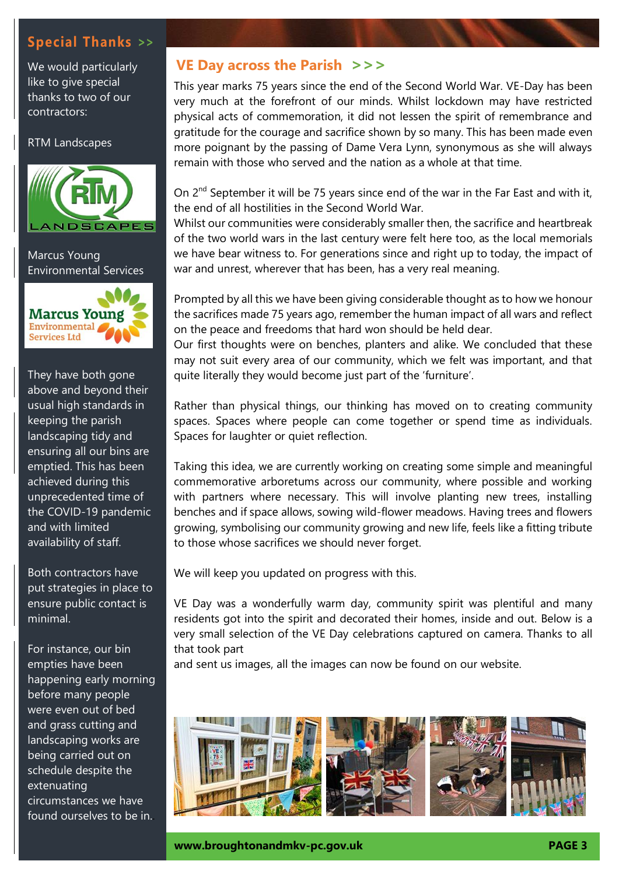# **Special Thanks** *>>*

We would particularly like to give special thanks to two of our contractors:

#### RTM Landscapes



Marcus Young Environmental Services



They have both gone above and beyond their usual high standards in keeping the parish landscaping tidy and ensuring all our bins are emptied. This has been achieved during this unprecedented time of the COVID-19 pandemic and with limited availability of staff.

Both contractors have put strategies in place to ensure public contact is minimal.

For instance, our bin empties have been happening early morning before many people were even out of bed and grass cutting and landscaping works are being carried out on schedule despite the extenuating circumstances we have found ourselves to be in..

## **VE Day across the Parish** *>>>*

This year marks 75 years since the end of the Second World War. VE-Day has been very much at the forefront of our minds. Whilst lockdown may have restricted physical acts of commemoration, it did not lessen the spirit of remembrance and gratitude for the courage and sacrifice shown by so many. This has been made even more poignant by the passing of Dame Vera Lynn, synonymous as she will always remain with those who served and the nation as a whole at that time.

On 2<sup>nd</sup> September it will be 75 years since end of the war in the Far East and with it, the end of all hostilities in the Second World War.

Whilst our communities were considerably smaller then, the sacrifice and heartbreak of the two world wars in the last century were felt here too, as the local memorials we have bear witness to. For generations since and right up to today, the impact of war and unrest, wherever that has been, has a very real meaning.

Prompted by all this we have been giving considerable thought as to how we honour the sacrifices made 75 years ago, remember the human impact of all wars and reflect on the peace and freedoms that hard won should be held dear.

Our first thoughts were on benches, planters and alike. We concluded that these may not suit every area of our community, which we felt was important, and that quite literally they would become just part of the 'furniture'.

Rather than physical things, our thinking has moved on to creating community spaces. Spaces where people can come together or spend time as individuals. Spaces for laughter or quiet reflection.

Taking this idea, we are currently working on creating some simple and meaningful commemorative arboretums across our community, where possible and working with partners where necessary. This will involve planting new trees, installing benches and if space allows, sowing wild-flower meadows. Having trees and flowers growing, symbolising our community growing and new life, feels like a fitting tribute to those whose sacrifices we should never forget.

We will keep you updated on progress with this.

VE Day was a wonderfully warm day, community spirit was plentiful and many residents got into the spirit and decorated their homes, inside and out. Below is a very small selection of the VE Day celebrations captured on camera. Thanks to all that took part

and sent us images, all the images can now be found on our website.